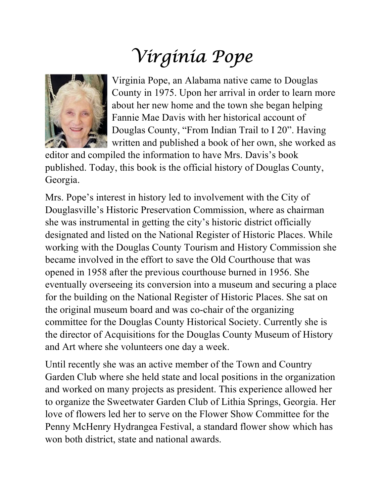## Virginia Pope



Virginia Pope, an Alabama native came to Douglas County in 1975. Upon her arrival in order to learn more about her new home and the town she began helping Fannie Mae Davis with her historical account of Douglas County, "From Indian Trail to I 20". Having written and published a book of her own, she worked as

editor and compiled the information to have Mrs. Davis's book published. Today, this book is the official history of Douglas County, Georgia.

Mrs. Pope's interest in history led to involvement with the City of Douglasville's Historic Preservation Commission, where as chairman she was instrumental in getting the city's historic district officially designated and listed on the National Register of Historic Places. While working with the Douglas County Tourism and History Commission she became involved in the effort to save the Old Courthouse that was opened in 1958 after the previous courthouse burned in 1956. She eventually overseeing its conversion into a museum and securing a place for the building on the National Register of Historic Places. She sat on the original museum board and was co-chair of the organizing committee for the Douglas County Historical Society. Currently she is the director of Acquisitions for the Douglas County Museum of History and Art where she volunteers one day a week.

Until recently she was an active member of the Town and Country Garden Club where she held state and local positions in the organization and worked on many projects as president. This experience allowed her to organize the Sweetwater Garden Club of Lithia Springs, Georgia. Her love of flowers led her to serve on the Flower Show Committee for the Penny McHenry Hydrangea Festival, a standard flower show which has won both district, state and national awards.